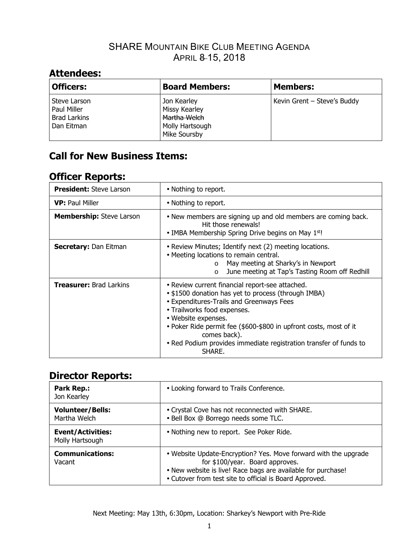## SHARE MOUNTAIN BIKE CLUB MEETING AGENDA APRIL 8-15, 2018

## **Attendees:**

| <b>Officers:</b>                                                 | <b>Board Members:</b>                                                           | <b>Members:</b>             |
|------------------------------------------------------------------|---------------------------------------------------------------------------------|-----------------------------|
| Steve Larson<br>Paul Miller<br><b>Brad Larkins</b><br>Dan Eitman | Jon Kearley<br>Missy Kearley<br>Martha Welch<br>Molly Hartsough<br>Mike Soursby | Kevin Grent - Steve's Buddy |

# **Call for New Business Items:**

## **Officer Reports:**

| <b>President:</b> Steve Larson  | • Nothing to report.                                                                                                                                                                                                                                                                                                                                                         |
|---------------------------------|------------------------------------------------------------------------------------------------------------------------------------------------------------------------------------------------------------------------------------------------------------------------------------------------------------------------------------------------------------------------------|
| <b>VP:</b> Paul Miller          | • Nothing to report.                                                                                                                                                                                                                                                                                                                                                         |
| <b>Membership:</b> Steve Larson | • New members are signing up and old members are coming back.<br>Hit those renewals!<br>• IMBA Membership Spring Drive begins on May $1st!$                                                                                                                                                                                                                                  |
| <b>Secretary: Dan Eitman</b>    | • Review Minutes; Identify next (2) meeting locations.<br>• Meeting locations to remain central.<br>May meeting at Sharky's in Newport<br>$\circ$<br>June meeting at Tap's Tasting Room off Redhill<br>$\circ$                                                                                                                                                               |
| <b>Treasurer: Brad Larkins</b>  | • Review current financial report-see attached.<br>• \$1500 donation has yet to process (through IMBA)<br>• Expenditures-Trails and Greenways Fees<br>• Trailworks food expenses.<br>• Website expenses.<br>• Poker Ride permit fee (\$600-\$800 in upfront costs, most of it<br>comes back).<br>• Red Podium provides immediate registration transfer of funds to<br>SHARE. |

### **Director Reports:**

| <b>Park Rep.:</b><br>Jon Kearley            | • Looking forward to Trails Conference.                                                                                                                                                                                       |
|---------------------------------------------|-------------------------------------------------------------------------------------------------------------------------------------------------------------------------------------------------------------------------------|
| <b>Volunteer/Bells:</b><br>Martha Welch     | • Crystal Cove has not reconnected with SHARE.<br>· Bell Box @ Borrego needs some TLC.                                                                                                                                        |
| <b>Event/Activities:</b><br>Molly Hartsough | • Nothing new to report. See Poker Ride.                                                                                                                                                                                      |
| <b>Communications:</b><br>Vacant            | • Website Update-Encryption? Yes. Move forward with the upgrade<br>for \$100/year. Board approves.<br>• New website is live! Race bags are available for purchase!<br>• Cutover from test site to official is Board Approved. |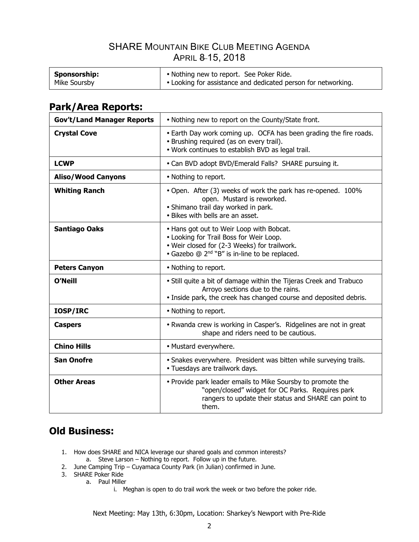## SHARE MOUNTAIN BIKE CLUB MEETING AGENDA APRIL 8 15, 2018

| Sponsorship: | • Nothing new to report. See Poker Ride.                      |
|--------------|---------------------------------------------------------------|
| Mike Soursby | • Looking for assistance and dedicated person for networking. |

# **Park/Area Reports:**

| <b>Gov't/Land Manager Reports</b> | • Nothing new to report on the County/State front.                                                                                                                                               |  |
|-----------------------------------|--------------------------------------------------------------------------------------------------------------------------------------------------------------------------------------------------|--|
| <b>Crystal Cove</b>               | • Earth Day work coming up. OCFA has been grading the fire roads.<br>• Brushing required (as on every trail).<br>. Work continues to establish BVD as legal trail.                               |  |
| <b>LCWP</b>                       | • Can BVD adopt BVD/Emerald Falls? SHARE pursuing it.                                                                                                                                            |  |
| <b>Aliso/Wood Canyons</b>         | • Nothing to report.                                                                                                                                                                             |  |
| <b>Whiting Ranch</b>              | • Open. After (3) weeks of work the park has re-opened. 100%<br>open. Mustard is reworked.<br>· Shimano trail day worked in park.<br>• Bikes with bells are an asset.                            |  |
| <b>Santiago Oaks</b>              | • Hans got out to Weir Loop with Bobcat.<br>• Looking for Trail Boss for Weir Loop.<br>· Weir closed for (2-3 Weeks) for trailwork.<br>• Gazebo @ 2 <sup>nd</sup> "B" is in-line to be replaced. |  |
| <b>Peters Canyon</b>              | • Nothing to report.                                                                                                                                                                             |  |
| O'Neill                           | • Still quite a bit of damage within the Tijeras Creek and Trabuco<br>Arroyo sections due to the rains.<br>• Inside park, the creek has changed course and deposited debris.                     |  |
| IOSP/IRC                          | • Nothing to report.                                                                                                                                                                             |  |
| <b>Caspers</b>                    | • Rwanda crew is working in Casper's. Ridgelines are not in great<br>shape and riders need to be cautious.                                                                                       |  |
| <b>Chino Hills</b>                | • Mustard everywhere.                                                                                                                                                                            |  |
| <b>San Onofre</b>                 | • Snakes everywhere. President was bitten while surveying trails.<br>· Tuesdays are trailwork days.                                                                                              |  |
| <b>Other Areas</b>                | • Provide park leader emails to Mike Soursby to promote the<br>"open/closed" widget for OC Parks. Requires park<br>rangers to update their status and SHARE can point to<br>them.                |  |

## **Old Business:**

- 1. How does SHARE and NICA leverage our shared goals and common interests? a. Steve Larson – Nothing to report. Follow up in the future.
- 2. June Camping Trip Cuyamaca County Park (in Julian) confirmed in June.
- 3. SHARE Poker Ride
	- a. Paul Miller
		- i. Meghan is open to do trail work the week or two before the poker ride.

Next Meeting: May 13th, 6:30pm, Location: Sharkey's Newport with Pre-Ride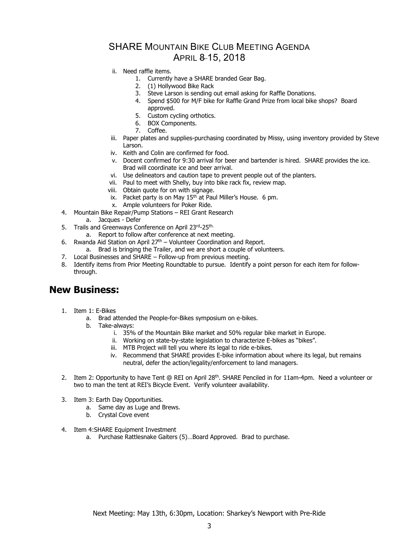### SHARE MOUNTAIN BIKE CLUB MEETING AGENDA APRIL 8 15, 2018

- ii. Need raffle items.
	- 1. Currently have a SHARE branded Gear Bag.
	- 2. (1) Hollywood Bike Rack
	- 3. Steve Larson is sending out email asking for Raffle Donations.
	- 4. Spend \$500 for M/F bike for Raffle Grand Prize from local bike shops? Board approved.
	- 5. Custom cycling orthotics.
	- 6. BOX Components.
	- 7. Coffee.
- iii. Paper plates and supplies-purchasing coordinated by Missy, using inventory provided by Steve Larson.
- iv. Keith and Colin are confirmed for food.
- v. Docent confirmed for 9:30 arrival for beer and bartender is hired. SHARE provides the ice. Brad will coordinate ice and beer arrival.
- vi. Use delineators and caution tape to prevent people out of the planters.
- vii. Paul to meet with Shelly, buy into bike rack fix, review map.
- viii. Obtain quote for on with signage.
- ix. Packet party is on May  $15<sup>th</sup>$  at Paul Miller's House. 6 pm.
- x. Ample volunteers for Poker Ride.
- 4. Mountain Bike Repair/Pump Stations REI Grant Research
	- a. Jacques Defer
- 5. Trails and Greenways Conference on April 23rd-25th.
	- a. Report to follow after conference at next meeting.
- 6. Rwanda Aid Station on April  $27<sup>th</sup>$  Volunteer Coordination and Report.
	- a. Brad is bringing the Trailer, and we are short a couple of volunteers.
- 7. Local Businesses and SHARE Follow-up from previous meeting.
- 8. Identify items from Prior Meeting Roundtable to pursue. Identify a point person for each item for followthrough.

#### **New Business:**

- 1. Item 1: E-Bikes
	- a. Brad attended the People-for-Bikes symposium on e-bikes.
	- b. Take-always:
		- i. 35% of the Mountain Bike market and 50% regular bike market in Europe.
		- ii. Working on state-by-state legislation to characterize E-bikes as "bikes".
		- iii. MTB Project will tell you where its legal to ride e-bikes.
		- iv. Recommend that SHARE provides E-bike information about where its legal, but remains neutral, defer the action/legality/enforcement to land managers.
- 2. Item 2: Opportunity to have Tent @ REI on April 28<sup>th</sup>, SHARE Penciled in for 11am-4pm. Need a volunteer or two to man the tent at REI's Bicycle Event. Verify volunteer availability.
- 3. Item 3: Earth Day Opportunities.
	- a. Same day as Luge and Brews.
	- b. Crystal Cove event
- 4. Item 4:SHARE Equipment Investment
	- a. Purchase Rattlesnake Gaiters (5)…Board Approved. Brad to purchase.